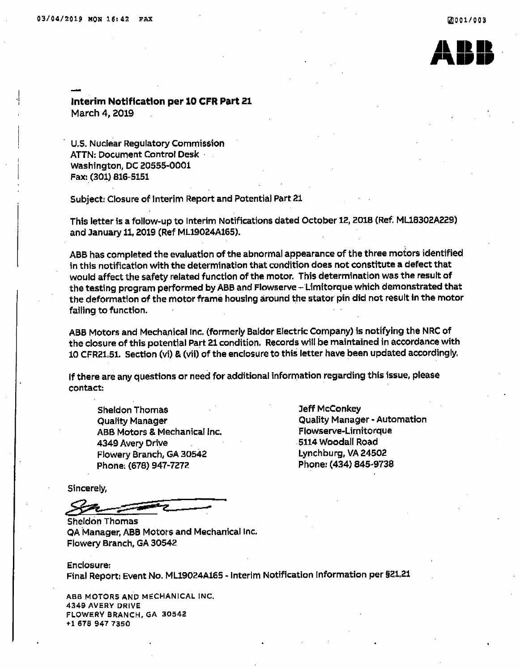,J I



**Interim Notification per 10 CFR Part 21**  March 4, 2019

U.S. Nuclear Regulatory Commission ATTN: Document Control Desk · Washington, DC 20555-0001 Fax: (301) 816-5151

Subject: Closure of Interim Report and Potential Part <sup>21</sup>

This letter is a follow-up to Interim Notifications dated October 12, 2018 (Ref; ML18302A229) and January 11, 2019 (Ref ML19024A165).

ABB has completed the evaluation of the abnormal appearance of the three motors identified in this notification with the determination that condition does not constitute a defect that would affect the safety related function of the motor. This determination was the result of the testing program performed by ABB and Flowserve -- Limitorque which demonstrated that the deformation of the motor frame housing around the stator pin did not result in the motor failing to function.

ABB Motors and Mechanical Inc. (formerly Baldor Electric Company) is notifying the NRC of the closure of this potential Part 21 condition. Records will be maintained in accordance with 10 CFR21.51. Section (vi) & (vii) of the enclosure to this letter have been updated accordingly,

If there are any questions or need for additional information regarding this issue, please contact:

Sheldon Thomas Quality Manager ABB Motors & Mechanical Inc. 4349 Avery Drive Flowery Branch, GA 30542 Phone: (678) 947-7272

Jeff Mcconkey Quality Manager - Automation Flowserve-Limitorque . 5114 Woodall Road Lynchburg, VA 24502 Phone: (434) 845~9738

Sincerely,

 $8\%$ 

Sheldon Thomas QA Manager, ABB Motors and Mechanical Inc. Flowery Branch, GA 30542

Enclosure: Final Report: Event No. ML19024A165 • Interim Notification Information per §21,21

ABB MOTORS AND MECHANICAL INC. 4349 AVERY DRIVE FLOWERY BRANCH, GA 30542 +1 678 947 7S50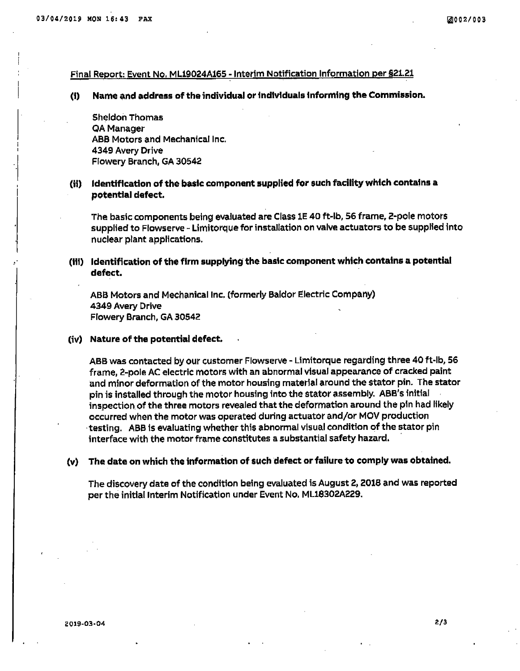I

··I

#### Final Report: Event No. ML19024A165 ~ Interim Notification Information per §21.21

#### **(t) Name .1.nd address of the individual or tndlv1duals Informing the Commission.**

Sheldon Thomas QA Manager ABB Motors and Mechanical Inc. 4349 Avery Drive Flowery Branch, GA 30542

## (ii) **Identification of the baste component supplied for such facility whtch contains <sup>a</sup> potential defect.**

The basic components being evaluated are Class lE 40 ft-lb, 56 frame. 2-pole motors supplied to Flowserve - Limitorque for installation on valve actuators to be supplied into nuclear plant applications.

## (iii) Identification of the firm supplying the basic component which contains a potential **defect.**

ABB Motors and Mechanical Inc. (formerly Baldor Electric Company) 4349 Avery Drive Flowery Branch, GA 30542

#### (iv) **Nature of the potential defect.**

ABB was contacted by our customer Flowserve - Limitorque regarding three 40 ft-lb, 56 frame, 2-pole AC electric motors with an abnormal visual appearance of cracked paint and minor deformation of the motor housing material around the stator pin. The stator <sup>p</sup>in is installed through the motor housing into the stator assembly. **ABB's** initial . inspection of the three motors revealed that the deformation around the pin had likely occurred when the motor was operated during actuator and/or MOV production · testing. ABB Is evaluating whether this abnormal visual condition of the stator pin interface with the motor frame constitutes a substantial safety hazard. ·

## (v) The date on which the information of such defect or failure to comply was obtained.

The discovery date of the condition being evaluated is August 2, 2018 and was reported per the initial Interim Notification under Event No. ML18302A229.